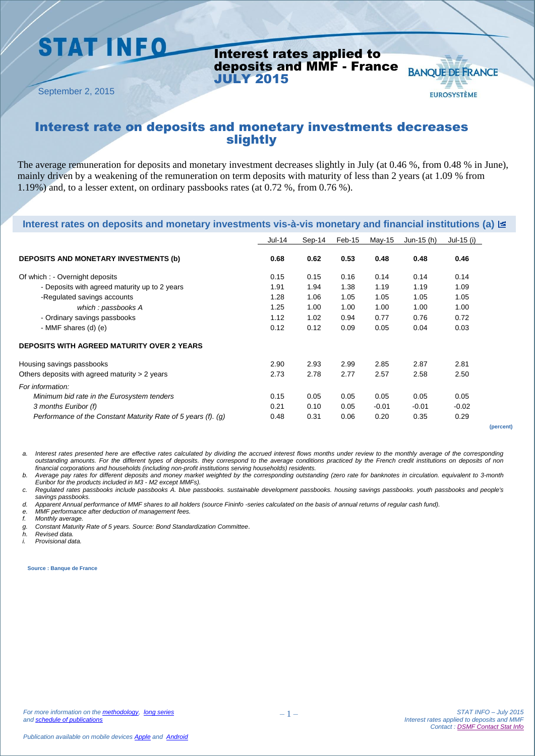## **STAT INFO**

Interest rates applied to deposits and MMF - France JULY 2015

September 2, 2015

#### Interest rate on deposits and monetary investments decreases slightly

The average remuneration for deposits and monetary investment decreases slightly in July (at 0.46 %, from 0.48 % in June), mainly driven by a weakening of the remuneration on term deposits with maturity of less than 2 years (at 1.09 % from 1.19%) and, to a lesser extent, on ordinary passbooks rates (at 0.72 %, from 0.76 %).

| Interest rates on deposits and monetary investments vis-à-vis monetary and financial institutions (a) $\Xi$ |        |        |        |         |            |            |  |
|-------------------------------------------------------------------------------------------------------------|--------|--------|--------|---------|------------|------------|--|
|                                                                                                             | Jul-14 | Sep-14 | Feb-15 | May-15  | Jun-15 (h) | Jul-15 (i) |  |
| <b>DEPOSITS AND MONETARY INVESTMENTS (b)</b>                                                                | 0.68   | 0.62   | 0.53   | 0.48    | 0.48       | 0.46       |  |
| Of which : - Overnight deposits                                                                             | 0.15   | 0.15   | 0.16   | 0.14    | 0.14       | 0.14       |  |
| - Deposits with agreed maturity up to 2 years                                                               | 1.91   | 1.94   | 1.38   | 1.19    | 1.19       | 1.09       |  |
| -Regulated savings accounts                                                                                 | 1.28   | 1.06   | 1.05   | 1.05    | 1.05       | 1.05       |  |
| which: passbooks A                                                                                          | 1.25   | 1.00   | 1.00   | 1.00    | 1.00       | 1.00       |  |
| - Ordinary savings passbooks                                                                                | 1.12   | 1.02   | 0.94   | 0.77    | 0.76       | 0.72       |  |
| - MMF shares (d) (e)                                                                                        | 0.12   | 0.12   | 0.09   | 0.05    | 0.04       | 0.03       |  |
| <b>DEPOSITS WITH AGREED MATURITY OVER 2 YEARS</b>                                                           |        |        |        |         |            |            |  |
| Housing savings passbooks                                                                                   | 2.90   | 2.93   | 2.99   | 2.85    | 2.87       | 2.81       |  |
| Others deposits with agreed maturity $> 2$ years                                                            | 2.73   | 2.78   | 2.77   | 2.57    | 2.58       | 2.50       |  |
| For information:                                                                                            |        |        |        |         |            |            |  |
| Minimum bid rate in the Eurosystem tenders                                                                  | 0.15   | 0.05   | 0.05   | 0.05    | 0.05       | 0.05       |  |
| 3 months Euribor (f)                                                                                        | 0.21   | 0.10   | 0.05   | $-0.01$ | $-0.01$    | $-0.02$    |  |
| Performance of the Constant Maturity Rate of 5 years (f). (g)                                               | 0.48   | 0.31   | 0.06   | 0.20    | 0.35       | 0.29       |  |

*a. Interest rates presented here are effective rates calculated by dividing the accrued interest flows months under review to the monthly average of the corresponding outstanding amounts. For the different types of deposits. they correspond to the average conditions practiced by the French credit institutions on deposits of non financial corporations and households (including non-profit institutions serving households) residents.*

*b. Average pay rates for different deposits and money market weighted by the corresponding outstanding (zero rate for banknotes in circulation. equivalent to 3-month Euribor for the products included in M3 - M2 except MMFs).*

*c. Regulated rates passbooks include passbooks A. blue passbooks. sustainable development passbooks. housing savings passbooks. youth passbooks and people's savings passbooks.*

*d. Apparent Annual performance of MMF shares to all holders (source Fininfo -series calculated on the basis of annual returns of regular cash fund).*

*e. MMF performance after deduction of management fees.*

*f. Monthly average.* 

*g. Constant Maturity Rate of 5 years. Source: Bond Standardization Committee*.

*h. Revised data.*

*i. Provisional data.*

**Source : Banque de France**

**(percent)**

**BANQUE DE FRANCE** 

**EUROSYSTÈME**